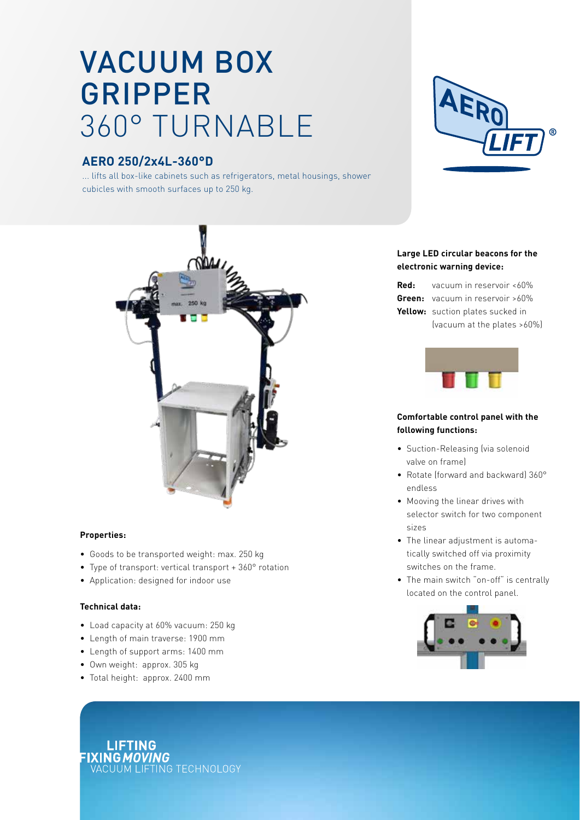# VACUUM BOX GRIPPER 360° TURNABLE

# **AERO 250/2x4L-360°D**

... lifts all box-like cabinets such as refrigerators, metal housings, shower cubicles with smooth surfaces up to 250 kg.





#### **Properties:**

- Goods to be transported weight: max. 250 kg
- Type of transport: vertical transport + 360° rotation
- Application: designed for indoor use

#### **Technical data:**

- Load capacity at 60% vacuum: 250 kg
- Length of main traverse: 1900 mm
- Length of support arms: 1400 mm
- Own weight: approx. 305 kg
- Total height: approx. 2400 mm

## **Large LED circular beacons for the electronic warning device:**

| <b>Red:</b> vacuum in reservoir $<60\%$ |
|-----------------------------------------|
| <b>Green:</b> vacuum in reservoir >60%  |
| Yellow: suction plates sucked in        |
| (vacuum at the plates >60%)             |



### **Comfortable control panel with the following functions:**

- Suction-Releasing (via solenoid valve on frame)
- Rotate (forward and backward) 360° endless
- Mooving the linear drives with selector switch for two component sizes
- The linear adjustment is automatically switched off via proximity switches on the frame.
- The main switch "on-off" is centrally located on the control panel.



**LIFTING** FIXING MOVING<br>VACUUM LIFTING TECHNOLOGY